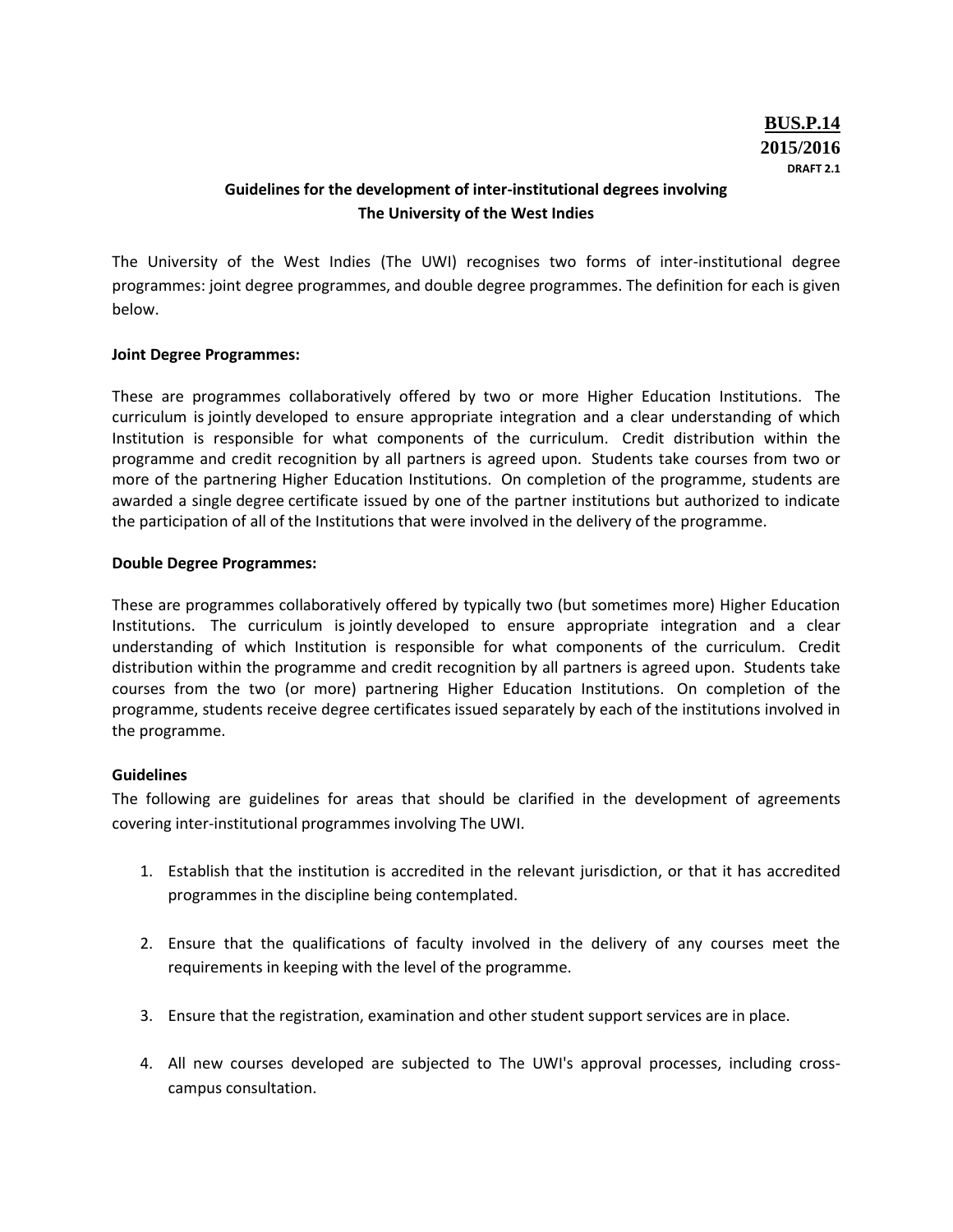## **Guidelines for the development of inter-institutional degrees involving The University of the West Indies**

The University of the West Indies (The UWI) recognises two forms of inter-institutional degree programmes: joint degree programmes, and double degree programmes. The definition for each is given below.

## **Joint Degree Programmes:**

These are programmes collaboratively offered by two or more Higher Education Institutions. The curriculum is jointly developed to ensure appropriate integration and a clear understanding of which Institution is responsible for what components of the curriculum. Credit distribution within the programme and credit recognition by all partners is agreed upon. Students take courses from two or more of the partnering Higher Education Institutions. On completion of the programme, students are awarded a single degree certificate issued by one of the partner institutions but authorized to indicate the participation of all of the Institutions that were involved in the delivery of the programme.

## **Double Degree Programmes:**

These are programmes collaboratively offered by typically two (but sometimes more) Higher Education Institutions. The curriculum is jointly developed to ensure appropriate integration and a clear understanding of which Institution is responsible for what components of the curriculum. Credit distribution within the programme and credit recognition by all partners is agreed upon. Students take courses from the two (or more) partnering Higher Education Institutions. On completion of the programme, students receive degree certificates issued separately by each of the institutions involved in the programme.

## **Guidelines**

The following are guidelines for areas that should be clarified in the development of agreements covering inter-institutional programmes involving The UWI.

- 1. Establish that the institution is accredited in the relevant jurisdiction, or that it has accredited programmes in the discipline being contemplated.
- 2. Ensure that the qualifications of faculty involved in the delivery of any courses meet the requirements in keeping with the level of the programme.
- 3. Ensure that the registration, examination and other student support services are in place.
- 4. All new courses developed are subjected to The UWI's approval processes, including crosscampus consultation.